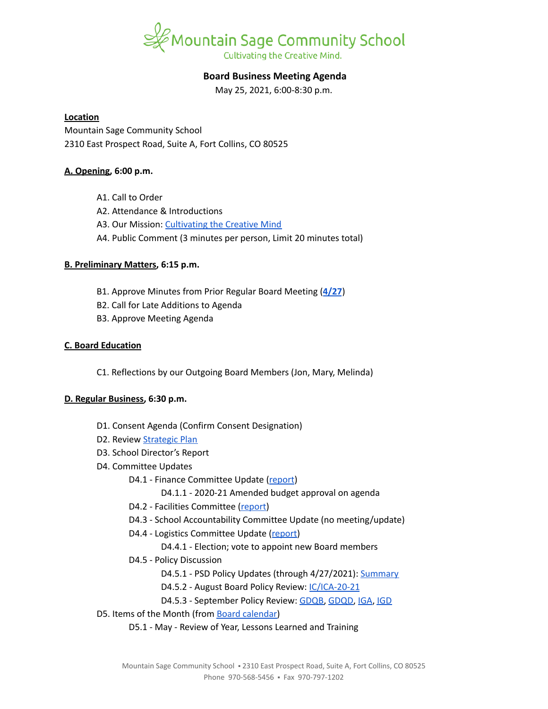

# **Board Business Meeting Agenda**

May 25, 2021, 6:00-8:30 p.m.

#### **Location**

Mountain Sage Community School 2310 East Prospect Road, Suite A, Fort Collins, CO 80525

## **A. Opening, 6:00 p.m.**

- A1. Call to Order
- A2. Attendance & Introductions
- A3. Our Mission: [Cultivating](https://www.mountainsage.org/about-us/mission-and-vision/) the Creative Mind
- A4. Public Comment (3 minutes per person, Limit 20 minutes total)

## **B. Preliminary Matters, 6:15 p.m.**

- B1. Approve Minutes from Prior Regular Board Meeting (**[4/27](https://docs.google.com/document/d/1Zfc9miUDN2slDW-aTCp19LOo2NL5f6QSUWSFZ2U_OJ0/edit?usp=sharing)**)
- B2. Call for Late Additions to Agenda
- B3. Approve Meeting Agenda

## **C. Board Education**

C1. Reflections by our Outgoing Board Members (Jon, Mary, Melinda)

## **D. Regular Business, 6:30 p.m.**

- D1. Consent Agenda (Confirm Consent Designation)
- D2. Review [Strategic](https://docs.google.com/spreadsheets/d/1ZcsDhIjaJBoVOI2OMPaYkghgZi_yR7rn31ELgbvqf3E/view) Plan
- D3. School Director's Report
- D4. Committee Updates
	- D4.1 Finance Committee Update ([report](https://docs.google.com/document/d/1LgrXmuacIY-YkA9PgSQmOVVgiAuPx9Xn9WbI6NLsrj8/edit?usp=sharing))
		- D4.1.1 2020-21 Amended budget approval on agenda
	- D4.2 Facilities Committee [\(report\)](https://docs.google.com/document/d/1gVBGYEa-MH1U_VYI5qbmBtQ3yN7h-THD0zo2nDk-OvY/edit?usp=sharing)
	- D4.3 School Accountability Committee Update (no meeting/update)
	- D4.4 Logistics Committee Update ([report](https://docs.google.com/document/d/1T2gI4hTSSJB8RyrkoZghQ1XGtEs6tY1yess6vFaqBaA/edit?usp=sharing))
		- D4.4.1 Election; vote to appoint new Board members
	- D4.5 Policy Discussion
		- D4.5.1 PSD Policy Updates (through 4/27/2021): [Summary](https://docs.google.com/document/d/1LWtSUWjIbm9sUOCkYaGjE9SGpJlKbLctpr4sy84MdjY/edit?usp=sharing)
		- D4.5.2 August Board Policy Review: [IC/ICA-20-21](https://docs.google.com/document/d/1vYwedJYcHq6j04mLqMZ8YIONGwVQBzBu7vgCSZ_N1o8)
		- D4.5.3 September Policy Review: [GDQB,](https://docs.google.com/document/d/1v4tGD07QFE56LKxTItzfu02rLfKRePcJk07Ao1XmLRg) [GDQD,](https://drive.google.com/open?id=1Ewwb0RIPZasF4ZmW7YUI-MQyvjgK7_aGBF7_874vNm8) [IGA](https://drive.google.com/open?id=17V0SGbIQdLADRZ5pwr_sr0Dl9RI-k8U9fvpsVhO2Cso), [IGD](https://drive.google.com/open?id=1dp0fAXOoFv1_XlJI0FYOgRRxLkpDFmdC1HH8hRpezBg)
- D5. Items of the Month (from Board [calendar\)](https://docs.google.com/document/d/12S6s-qevYMsnj8Cr2yw6uMO7S7hL3gz2oKvXZk5ZndQ/edit?usp=sharing)
	- D5.1 May Review of Year, Lessons Learned and Training